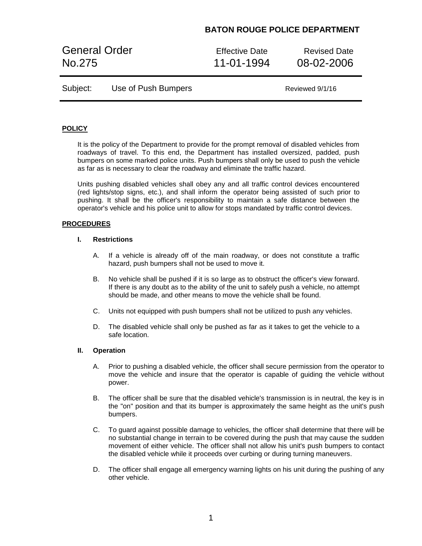# **BATON ROUGE POLICE DEPARTMENT**

General Order **Effective Date** Revised Date No.275 11-01-1994 08-02-2006

Reviewed 9/1/16

| Subject: | Use of Push Bumpers |  |
|----------|---------------------|--|
|----------|---------------------|--|

## **POLICY**

It is the policy of the Department to provide for the prompt removal of disabled vehicles from roadways of travel. To this end, the Department has installed oversized, padded, push bumpers on some marked police units. Push bumpers shall only be used to push the vehicle as far as is necessary to clear the roadway and eliminate the traffic hazard.

Units pushing disabled vehicles shall obey any and all traffic control devices encountered (red lights/stop signs, etc.), and shall inform the operator being assisted of such prior to pushing. It shall be the officer's responsibility to maintain a safe distance between the operator's vehicle and his police unit to allow for stops mandated by traffic control devices.

### **PROCEDURES**

## **I. Restrictions**

- A. If a vehicle is already off of the main roadway, or does not constitute a traffic hazard, push bumpers shall not be used to move it.
- B. No vehicle shall be pushed if it is so large as to obstruct the officer's view forward. If there is any doubt as to the ability of the unit to safely push a vehicle, no attempt should be made, and other means to move the vehicle shall be found.
- C. Units not equipped with push bumpers shall not be utilized to push any vehicles.
- D. The disabled vehicle shall only be pushed as far as it takes to get the vehicle to a safe location.

### **II. Operation**

- A. Prior to pushing a disabled vehicle, the officer shall secure permission from the operator to move the vehicle and insure that the operator is capable of guiding the vehicle without power.
- B. The officer shall be sure that the disabled vehicle's transmission is in neutral, the key is in the "on" position and that its bumper is approximately the same height as the unit's push bumpers.
- C. To guard against possible damage to vehicles, the officer shall determine that there will be no substantial change in terrain to be covered during the push that may cause the sudden movement of either vehicle. The officer shall not allow his unit's push bumpers to contact the disabled vehicle while it proceeds over curbing or during turning maneuvers.
- D. The officer shall engage all emergency warning lights on his unit during the pushing of any other vehicle.